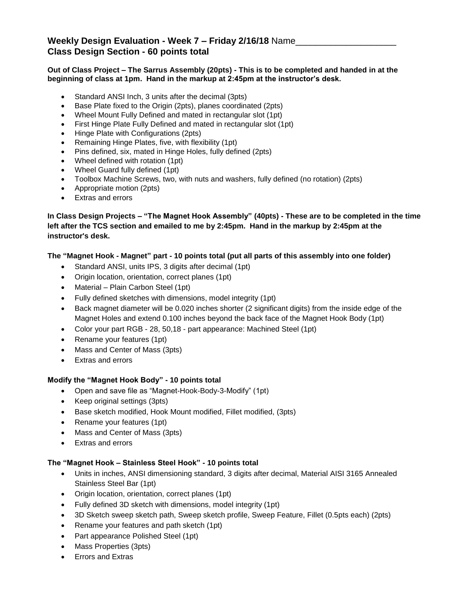# **Weekly Design Evaluation - Week 7 – Friday 2/16/18** Name\_\_\_\_\_\_\_\_\_\_\_\_\_\_\_\_\_\_\_\_ **Class Design Section - 60 points total**

### **Out of Class Project – The Sarrus Assembly (20pts) - This is to be completed and handed in at the beginning of class at 1pm. Hand in the markup at 2:45pm at the instructor's desk.**

- Standard ANSI Inch, 3 units after the decimal (3pts)
- Base Plate fixed to the Origin (2pts), planes coordinated (2pts)
- Wheel Mount Fully Defined and mated in rectangular slot (1pt)
- First Hinge Plate Fully Defined and mated in rectangular slot (1pt)
- Hinge Plate with Configurations (2pts)
- Remaining Hinge Plates, five, with flexibility (1pt)
- Pins defined, six, mated in Hinge Holes, fully defined (2pts)
- Wheel defined with rotation (1pt)
- Wheel Guard fully defined (1pt)
- Toolbox Machine Screws, two, with nuts and washers, fully defined (no rotation) (2pts)
- Appropriate motion (2pts)
- Extras and errors

## **In Class Design Projects – "The Magnet Hook Assembly" (40pts) - These are to be completed in the time left after the TCS section and emailed to me by 2:45pm. Hand in the markup by 2:45pm at the instructor's desk.**

## **The "Magnet Hook - Magnet" part - 10 points total (put all parts of this assembly into one folder)**

- Standard ANSI, units IPS, 3 digits after decimal (1pt)
- Origin location, orientation, correct planes (1pt)
- Material Plain Carbon Steel (1pt)
- Fully defined sketches with dimensions, model integrity (1pt)
- Back magnet diameter will be 0.020 inches shorter (2 significant digits) from the inside edge of the Magnet Holes and extend 0.100 inches beyond the back face of the Magnet Hook Body (1pt)
- Color your part RGB 28, 50,18 part appearance: Machined Steel (1pt)
- Rename your features (1pt)
- Mass and Center of Mass (3pts)
- Extras and errors

### **Modify the "Magnet Hook Body" - 10 points total**

- Open and save file as "Magnet-Hook-Body-3-Modify" (1pt)
- Keep original settings (3pts)
- Base sketch modified, Hook Mount modified, Fillet modified, (3pts)
- Rename your features (1pt)
- Mass and Center of Mass (3pts)
- Extras and errors

### **The "Magnet Hook – Stainless Steel Hook" - 10 points total**

- Units in inches, ANSI dimensioning standard, 3 digits after decimal, Material AISI 3165 Annealed Stainless Steel Bar (1pt)
- Origin location, orientation, correct planes (1pt)
- Fully defined 3D sketch with dimensions, model integrity (1pt)
- 3D Sketch sweep sketch path, Sweep sketch profile, Sweep Feature, Fillet (0.5pts each) (2pts)
- Rename your features and path sketch (1pt)
- Part appearance Polished Steel (1pt)
- Mass Properties (3pts)
- Errors and Extras